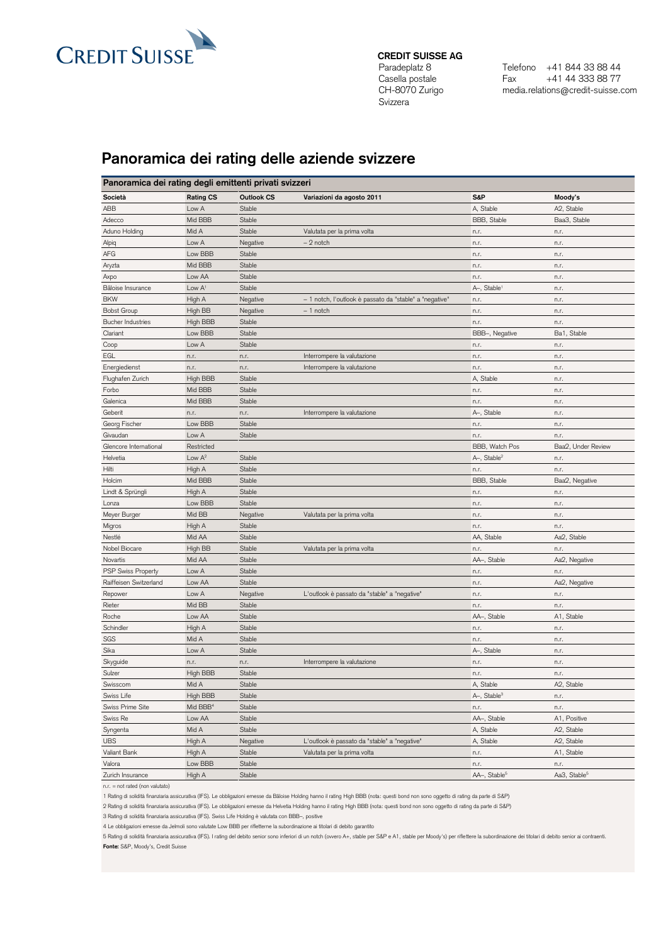

**CREDIT SUISSE AG**

Paradeplatz 8 Casella postale CH-8070 Zurigo Svizzera

Telefono +41 844 33 88 44 Fax +41 44 333 88 77 media.relations@credit-suisse.com

## **Panoramica dei rating delle aziende svizzere**

| Panoramica dei rating degli emittenti privati svizzeri |                      |            |                                                         |                          |                          |  |  |  |
|--------------------------------------------------------|----------------------|------------|---------------------------------------------------------|--------------------------|--------------------------|--|--|--|
| Società                                                | <b>Rating CS</b>     | Outlook CS | Variazioni da agosto 2011                               | S&P                      | Moody's                  |  |  |  |
| ABB                                                    | Low A                | Stable     |                                                         | A, Stable                | A2, Stable               |  |  |  |
| Adecco                                                 | Mid BBB              | Stable     |                                                         | BBB, Stable              | Baa3, Stable             |  |  |  |
| Aduno Holding                                          | Mid A                | Stable     | Valutata per la prima volta                             | n.r.                     | n.r.                     |  |  |  |
| Alpiq                                                  | Low A                | Negative   | $-2$ notch                                              | n.r.                     | n.r.                     |  |  |  |
| AFG                                                    | Low BBB              | Stable     |                                                         | n.r.                     | n.r.                     |  |  |  |
| Aryzta                                                 | Mid BBB              | Stable     |                                                         | n.r.                     | n.r.                     |  |  |  |
| Axpo                                                   | Low AA               | Stable     |                                                         | n.r.                     | n.r.                     |  |  |  |
| Bâloise Insurance                                      | Low $A1$             | Stable     |                                                         | A-, Stable <sup>1</sup>  | n.r.                     |  |  |  |
| <b>BKW</b>                                             | High A               | Negative   | - 1 notch, l'outlook è passato da "stable" a "negative" | n.r.                     | n.r.                     |  |  |  |
| <b>Bobst Group</b>                                     | High BB              | Negative   | $-1$ notch                                              | n.r.                     | n.r.                     |  |  |  |
| <b>Bucher Industries</b>                               | High BBB             | Stable     |                                                         | n.r.                     | n.r.                     |  |  |  |
| Clariant                                               | Low BBB              | Stable     |                                                         | BBB-, Negative           | Ba1, Stable              |  |  |  |
| Coop                                                   | Low A                | Stable     |                                                         | n.r.                     | n.r.                     |  |  |  |
| EGL                                                    | n.r.                 | n.r.       | Interrompere la valutazione                             | n.r.                     | n.r.                     |  |  |  |
| Energiedienst                                          | n.r.                 | n.r.       | Interrompere la valutazione                             | n.r.                     | n.r.                     |  |  |  |
| Flughafen Zurich                                       | High BBB             | Stable     |                                                         | A, Stable                | n.r.                     |  |  |  |
| Forbo                                                  | Mid BBB              | Stable     |                                                         | n.r.                     | n.r.                     |  |  |  |
| Galenica                                               | Mid BBB              | Stable     |                                                         | n.r.                     | n.r.                     |  |  |  |
| Geberit                                                | n.r.                 | n.r.       | Interrompere la valutazione                             | A-, Stable               | n.r.                     |  |  |  |
| Georg Fischer                                          | Low BBB              | Stable     |                                                         | n.r.                     | n.r.                     |  |  |  |
| Givaudan                                               | Low A                | Stable     |                                                         | n.r.                     | n.r.                     |  |  |  |
| Glencore International                                 | Restricted           |            |                                                         | BBB, Watch Pos           | Baa2. Under Review       |  |  |  |
| Helvetia                                               | Low $A^2$            | Stable     |                                                         | A-, Stable <sup>2</sup>  | n.r.                     |  |  |  |
| Hilti                                                  | High A               | Stable     |                                                         | n.r.                     | n.r.                     |  |  |  |
| Holcim                                                 | Mid BBB              | Stable     |                                                         | BBB, Stable              | Baa2, Negative           |  |  |  |
| Lindt & Sprüngli                                       | High A               | Stable     |                                                         | n.r.                     | n.r.                     |  |  |  |
| Lonza                                                  | Low BBB              | Stable     |                                                         | n.r.                     | n.r.                     |  |  |  |
| Meyer Burger                                           | Mid BB               | Negative   | Valutata per la prima volta                             | n.r.                     | n.r.                     |  |  |  |
| Migros                                                 | High A               | Stable     |                                                         | n.r.                     | n.r.                     |  |  |  |
| Nestlé                                                 | Mid AA               | Stable     |                                                         | AA, Stable               | Aa2, Stable              |  |  |  |
| Nobel Biocare                                          | High BB              | Stable     | Valutata per la prima volta                             | n.r.                     | n.r.                     |  |  |  |
| Novartis                                               | Mid AA               | Stable     |                                                         | AA-, Stable              | Aa2, Negative            |  |  |  |
| <b>PSP Swiss Property</b>                              | Low A                | Stable     |                                                         | n.r.                     | n.r.                     |  |  |  |
| Raiffeisen Switzerland                                 | Low AA               | Stable     |                                                         | n.r.                     | Aa2, Negative            |  |  |  |
| Repower                                                | Low A                | Negative   | L'outlook è passato da "stable" a "negative"            | n.r.                     | n.r.                     |  |  |  |
| Rieter                                                 | Mid BB               | Stable     |                                                         | n.r.                     | n.r.                     |  |  |  |
| Roche                                                  | Low AA               | Stable     |                                                         | AA-, Stable              | A1, Stable               |  |  |  |
| Schindler                                              | High A               | Stable     |                                                         | n.r.                     | n.r.                     |  |  |  |
| SGS                                                    | Mid A                | Stable     |                                                         | n.r.                     | n.r.                     |  |  |  |
| Sika                                                   | Low A                | Stable     |                                                         | A-, Stable               | n.r.                     |  |  |  |
| Skyguide                                               | n.r.                 | n.r.       | Interrompere la valutazione                             | n.r.                     | n.r.                     |  |  |  |
| Sulzer                                                 | High BBB             | Stable     |                                                         | n.r.                     | n.r.                     |  |  |  |
| Swisscom                                               | Mid A                | Stable     |                                                         | A, Stable                | A2, Stable               |  |  |  |
| Swiss Life                                             | High BBB             | Stable     |                                                         | A-, Stable <sup>3</sup>  | n.r.                     |  |  |  |
| Swiss Prime Site                                       | Mid BBB <sup>4</sup> | Stable     |                                                         | n.r.                     | n.r.                     |  |  |  |
| Swiss Re                                               | Low AA               | Stable     |                                                         | AA-, Stable              | A1, Positive             |  |  |  |
| Syngenta                                               | Mid A                | Stable     |                                                         | A, Stable                | A2, Stable               |  |  |  |
| <b>UBS</b>                                             | High A               | Negative   | L'outlook è passato da "stable" a "negative"            | A, Stable                | A2, Stable               |  |  |  |
| Valiant Bank                                           | High A               | Stable     | Valutata per la prima volta                             | n.r.                     | A1, Stable               |  |  |  |
| Valora                                                 | Low BBB              | Stable     |                                                         | n.r.                     | n.r.                     |  |  |  |
| Zurich Insurance                                       | High A               | Stable     |                                                         | AA-, Stable <sup>5</sup> | Aa3, Stable <sup>5</sup> |  |  |  |
|                                                        |                      |            |                                                         |                          |                          |  |  |  |

n.r. = not rated (non valutato)

1 Rating di solidità finanziaria assicurativa (IFS). Le obbligazioni emesse da Bâloise Holding hanno il rating High BBB (nota: questi bond non sono oggetto di rating da parte di S&P)

2 Rating di solidità finanziaria assicurativa (IFS). Le obbligazioni emesse da Helvetia Holding hanno il rating High BBB (nota: questi bond non sono oggetto di rating da parte di S&P)

3 Rating di solidità finanziaria assicurativa (IFS). Swiss Life Holding è valutata con BBB–, positive

4 Le obbligazioni emesse da Jelmoli sono valutate Low BBB per rifletterne la subordinazione ai titolari di debito garantito

5 Rating di solidità finanziaria assicurativa (IFS). I rating del debito senior sono inferiori di un notch (owero A+, stable per S&P e A1, stable per Moody's) per riflettere la subordinazione dei titolari di debito senior **Fonte:** S&P, Moody's, Credit Suisse